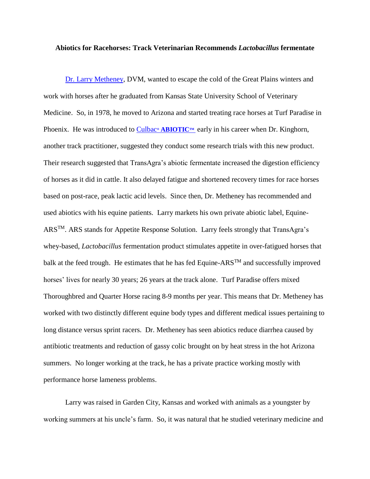## **Abiotics for Racehorses: Track Veterinarian Recommends** *Lactobacillus* **fermentate**

[Dr. Larry Metheney,](http://www.lamdvm.com/index.html) DVM, wanted to escape the cold of the Great Plains winters and work with horses after he graduated from Kansas State University School of Veterinary Medicine. So, in 1978, he moved to Arizona and started treating race horses at Turf Paradise in Phoenix. He was introduced to **Culbac® [ABIOTIC](https://www.facebook.com/search/top/?q=transagra%20international%20inc)™** early in his career when Dr. Kinghorn, another track practitioner, suggested they conduct some research trials with this new product. Their research suggested that TransAgra's abiotic fermentate increased the digestion efficiency of horses as it did in cattle. It also delayed fatigue and shortened recovery times for race horses based on post-race, peak lactic acid levels. Since then, Dr. Metheney has recommended and used abiotics with his equine patients. Larry markets his own private abiotic label, Equine-ARSTM. ARS stands for Appetite Response Solution. Larry feels strongly that TransAgra's whey-based, *Lactobacillus* fermentation product stimulates appetite in over-fatigued horses that balk at the feed trough. He estimates that he has fed Equine-ARS<sup>TM</sup> and successfully improved horses' lives for nearly 30 years; 26 years at the track alone. Turf Paradise offers mixed Thoroughbred and Quarter Horse racing 8-9 months per year. This means that Dr. Metheney has worked with two distinctly different equine body types and different medical issues pertaining to long distance versus sprint racers. Dr. Metheney has seen abiotics reduce diarrhea caused by antibiotic treatments and reduction of gassy colic brought on by heat stress in the hot Arizona summers. No longer working at the track, he has a private practice working mostly with performance horse lameness problems.

Larry was raised in Garden City, Kansas and worked with animals as a youngster by working summers at his uncle's farm. So, it was natural that he studied veterinary medicine and